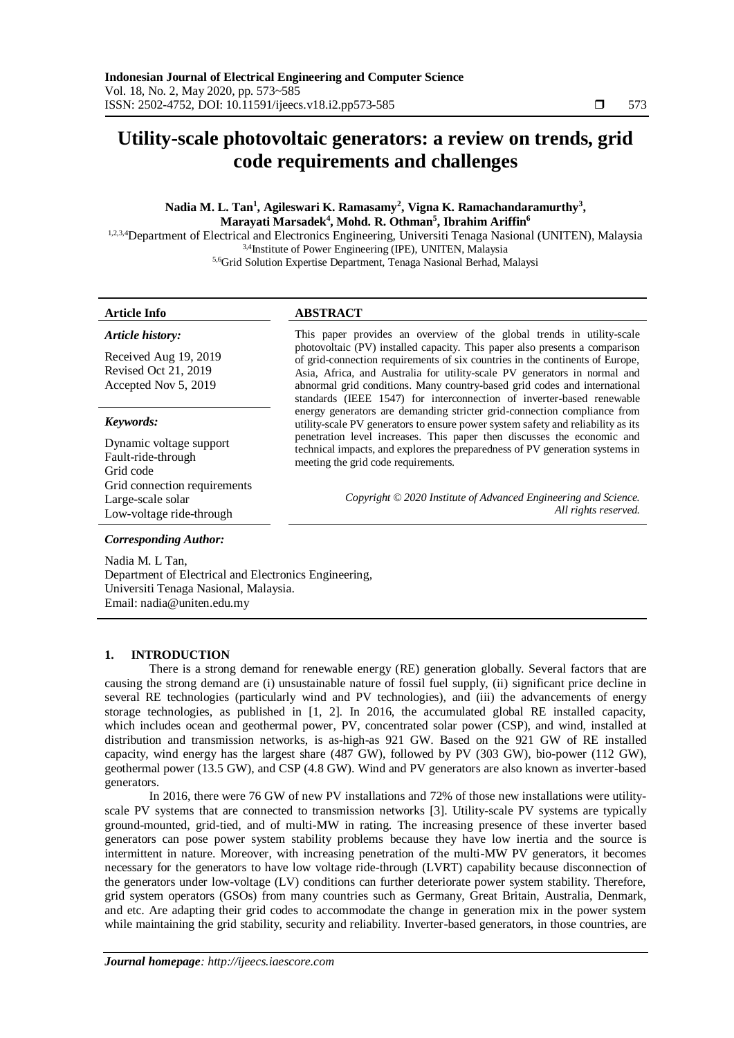# **Utility-scale photovoltaic generators: a review on trends, grid code requirements and challenges**

# **Nadia M. L. Tan<sup>1</sup> , Agileswari K. Ramasamy<sup>2</sup> , Vigna K. Ramachandaramurthy<sup>3</sup> , Marayati Marsadek<sup>4</sup> , Mohd. R. Othman<sup>5</sup> , Ibrahim Ariffin<sup>6</sup>**

1,2,3,4Department of Electrical and Electronics Engineering, Universiti Tenaga Nasional (UNITEN), Malaysia 3,4Institute of Power Engineering (IPE), UNITEN, Malaysia 5,6Grid Solution Expertise Department, Tenaga Nasional Berhad, Malaysi

# **Article Info ABSTRACT**

*Article history:* Received Aug 19, 2019 Revised Oct 21, 2019 Accepted Nov 5, 2019 *Keywords:* Dynamic voltage support

Fault-ride-through Grid code Grid connection requirements Large-scale solar Low-voltage ride-through

This paper provides an overview of the global trends in utility-scale photovoltaic (PV) installed capacity. This paper also presents a comparison of grid-connection requirements of six countries in the continents of Europe, Asia, Africa, and Australia for utility-scale PV generators in normal and abnormal grid conditions. Many country-based grid codes and international standards (IEEE 1547) for interconnection of inverter-based renewable energy generators are demanding stricter grid-connection compliance from utility-scale PV generators to ensure power system safety and reliability as its penetration level increases. This paper then discusses the economic and technical impacts, and explores the preparedness of PV generation systems in meeting the grid code requirements.

> *Copyright © 2020 Institute of Advanced Engineering and Science. All rights reserved.*

# *Corresponding Author:*

Nadia M. L Tan, Department of Electrical and Electronics Engineering, Universiti Tenaga Nasional, Malaysia. Email: nadia@uniten.edu.my

# **1. INTRODUCTION**

There is a strong demand for renewable energy (RE) generation globally. Several factors that are causing the strong demand are (i) unsustainable nature of fossil fuel supply, (ii) significant price decline in several RE technologies (particularly wind and PV technologies), and (iii) the advancements of energy storage technologies, as published in [1, 2]. In 2016, the accumulated global RE installed capacity, which includes ocean and geothermal power, PV, concentrated solar power (CSP), and wind, installed at distribution and transmission networks, is as-high-as 921 GW. Based on the 921 GW of RE installed capacity, wind energy has the largest share (487 GW), followed by PV (303 GW), bio-power (112 GW), geothermal power (13.5 GW), and CSP (4.8 GW). Wind and PV generators are also known as inverter-based generators.

In 2016, there were 76 GW of new PV installations and 72% of those new installations were utilityscale PV systems that are connected to transmission networks [3]. Utility-scale PV systems are typically ground-mounted, grid-tied, and of multi-MW in rating. The increasing presence of these inverter based generators can pose power system stability problems because they have low inertia and the source is intermittent in nature. Moreover, with increasing penetration of the multi-MW PV generators, it becomes necessary for the generators to have low voltage ride-through (LVRT) capability because disconnection of the generators under low-voltage (LV) conditions can further deteriorate power system stability. Therefore, grid system operators (GSOs) from many countries such as Germany, Great Britain, Australia, Denmark, and etc. Are adapting their grid codes to accommodate the change in generation mix in the power system while maintaining the grid stability, security and reliability. Inverter-based generators, in those countries, are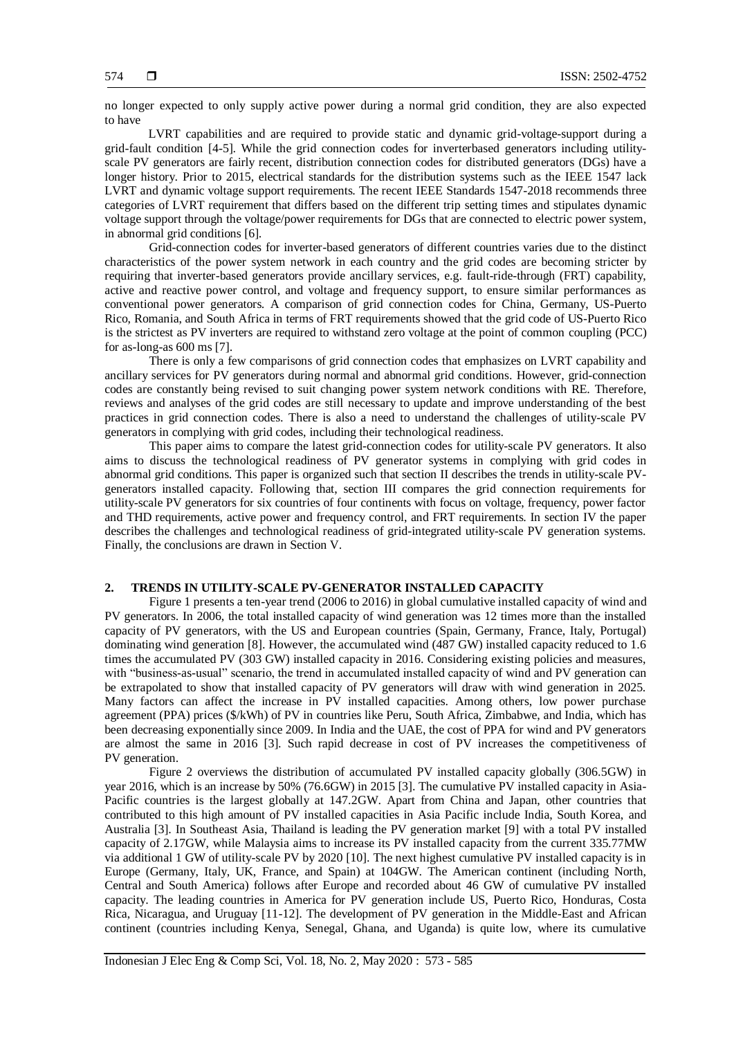no longer expected to only supply active power during a normal grid condition, they are also expected to have

LVRT capabilities and are required to provide static and dynamic grid-voltage-support during a grid-fault condition [4-5]. While the grid connection codes for inverterbased generators including utilityscale PV generators are fairly recent, distribution connection codes for distributed generators (DGs) have a longer history. Prior to 2015, electrical standards for the distribution systems such as the IEEE 1547 lack LVRT and dynamic voltage support requirements. The recent IEEE Standards 1547-2018 recommends three categories of LVRT requirement that differs based on the different trip setting times and stipulates dynamic voltage support through the voltage/power requirements for DGs that are connected to electric power system, in abnormal grid conditions [6].

Grid-connection codes for inverter-based generators of different countries varies due to the distinct characteristics of the power system network in each country and the grid codes are becoming stricter by requiring that inverter-based generators provide ancillary services, e.g. fault-ride-through (FRT) capability, active and reactive power control, and voltage and frequency support, to ensure similar performances as conventional power generators. A comparison of grid connection codes for China, Germany, US-Puerto Rico, Romania, and South Africa in terms of FRT requirements showed that the grid code of US-Puerto Rico is the strictest as PV inverters are required to withstand zero voltage at the point of common coupling (PCC) for as-long-as 600 ms [7].

There is only a few comparisons of grid connection codes that emphasizes on LVRT capability and ancillary services for PV generators during normal and abnormal grid conditions. However, grid-connection codes are constantly being revised to suit changing power system network conditions with RE. Therefore, reviews and analyses of the grid codes are still necessary to update and improve understanding of the best practices in grid connection codes. There is also a need to understand the challenges of utility-scale PV generators in complying with grid codes, including their technological readiness.

This paper aims to compare the latest grid-connection codes for utility-scale PV generators. It also aims to discuss the technological readiness of PV generator systems in complying with grid codes in abnormal grid conditions. This paper is organized such that section II describes the trends in utility-scale PVgenerators installed capacity. Following that, section III compares the grid connection requirements for utility-scale PV generators for six countries of four continents with focus on voltage, frequency, power factor and THD requirements, active power and frequency control, and FRT requirements. In section IV the paper describes the challenges and technological readiness of grid-integrated utility-scale PV generation systems. Finally, the conclusions are drawn in Section V.

## **2. TRENDS IN UTILITY-SCALE PV-GENERATOR INSTALLED CAPACITY**

Figure 1 presents a ten-year trend (2006 to 2016) in global cumulative installed capacity of wind and PV generators. In 2006, the total installed capacity of wind generation was 12 times more than the installed capacity of PV generators, with the US and European countries (Spain, Germany, France, Italy, Portugal) dominating wind generation [8]. However, the accumulated wind (487 GW) installed capacity reduced to 1.6 times the accumulated PV (303 GW) installed capacity in 2016. Considering existing policies and measures, with "business-as-usual" scenario, the trend in accumulated installed capacity of wind and PV generation can be extrapolated to show that installed capacity of PV generators will draw with wind generation in 2025. Many factors can affect the increase in PV installed capacities. Among others, low power purchase agreement (PPA) prices (\$/kWh) of PV in countries like Peru, South Africa, Zimbabwe, and India, which has been decreasing exponentially since 2009. In India and the UAE, the cost of PPA for wind and PV generators are almost the same in 2016 [3]. Such rapid decrease in cost of PV increases the competitiveness of PV generation.

Figure 2 overviews the distribution of accumulated PV installed capacity globally (306.5GW) in year 2016, which is an increase by 50% (76.6GW) in 2015 [3]. The cumulative PV installed capacity in Asia-Pacific countries is the largest globally at 147.2GW. Apart from China and Japan, other countries that contributed to this high amount of PV installed capacities in Asia Pacific include India, South Korea, and Australia [3]. In Southeast Asia, Thailand is leading the PV generation market [9] with a total PV installed capacity of 2.17GW, while Malaysia aims to increase its PV installed capacity from the current 335.77MW via additional 1 GW of utility-scale PV by 2020 [10]. The next highest cumulative PV installed capacity is in Europe (Germany, Italy, UK, France, and Spain) at 104GW. The American continent (including North, Central and South America) follows after Europe and recorded about 46 GW of cumulative PV installed capacity. The leading countries in America for PV generation include US, Puerto Rico, Honduras, Costa Rica, Nicaragua, and Uruguay [11-12]. The development of PV generation in the Middle-East and African continent (countries including Kenya, Senegal, Ghana, and Uganda) is quite low, where its cumulative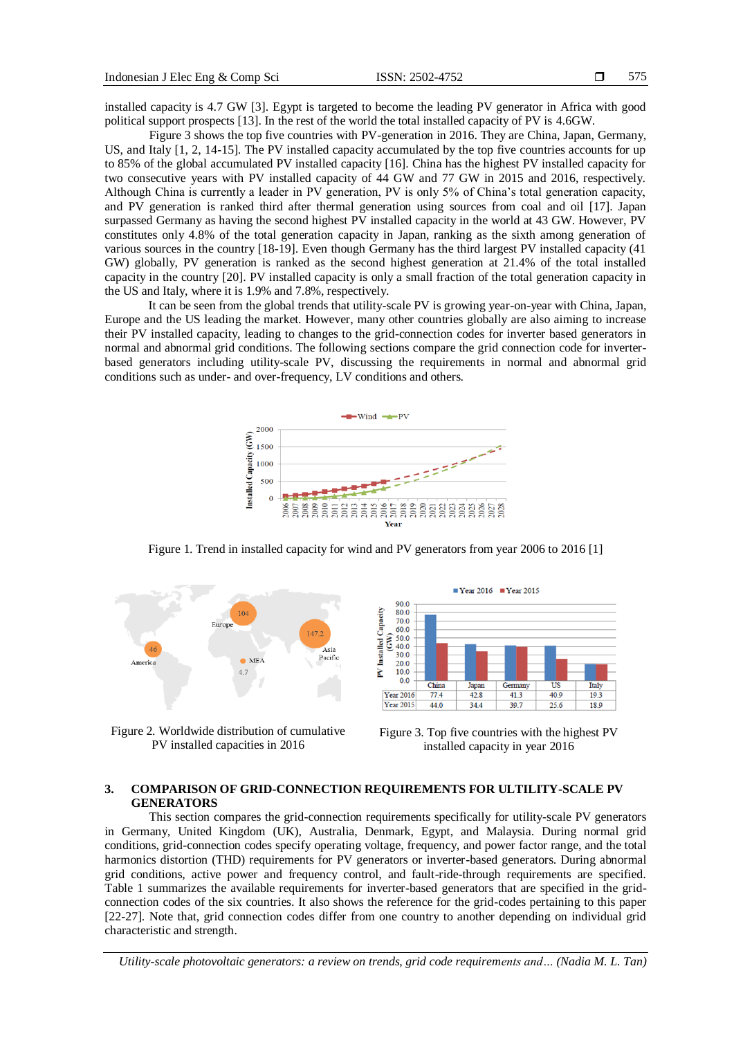installed capacity is 4.7 GW [3]. Egypt is targeted to become the leading PV generator in Africa with good political support prospects [13]. In the rest of the world the total installed capacity of PV is 4.6GW.

Figure 3 shows the top five countries with PV-generation in 2016. They are China, Japan, Germany, US, and Italy [1, 2, 14-15]. The PV installed capacity accumulated by the top five countries accounts for up to 85% of the global accumulated PV installed capacity [16]. China has the highest PV installed capacity for two consecutive years with PV installed capacity of 44 GW and 77 GW in 2015 and 2016, respectively. Although China is currently a leader in PV generation, PV is only 5% of China's total generation capacity, and PV generation is ranked third after thermal generation using sources from coal and oil [17]. Japan surpassed Germany as having the second highest PV installed capacity in the world at 43 GW. However, PV constitutes only 4.8% of the total generation capacity in Japan, ranking as the sixth among generation of various sources in the country [18-19]. Even though Germany has the third largest PV installed capacity (41 GW) globally, PV generation is ranked as the second highest generation at 21.4% of the total installed capacity in the country [20]. PV installed capacity is only a small fraction of the total generation capacity in the US and Italy, where it is 1.9% and 7.8%, respectively.

It can be seen from the global trends that utility-scale PV is growing year-on-year with China, Japan, Europe and the US leading the market. However, many other countries globally are also aiming to increase their PV installed capacity, leading to changes to the grid-connection codes for inverter based generators in normal and abnormal grid conditions. The following sections compare the grid connection code for inverterbased generators including utility-scale PV, discussing the requirements in normal and abnormal grid conditions such as under- and over-frequency, LV conditions and others.



Figure 1. Trend in installed capacity for wind and PV generators from year 2006 to 2016 [1]



Figure 2. Worldwide distribution of cumulative PV installed capacities in 2016



Figure 3. Top five countries with the highest PV installed capacity in year 2016

# **3. COMPARISON OF GRID-CONNECTION REQUIREMENTS FOR ULTILITY-SCALE PV GENERATORS**

This section compares the grid-connection requirements specifically for utility-scale PV generators in Germany, United Kingdom (UK), Australia, Denmark, Egypt, and Malaysia. During normal grid conditions, grid-connection codes specify operating voltage, frequency, and power factor range, and the total harmonics distortion (THD) requirements for PV generators or inverter-based generators. During abnormal grid conditions, active power and frequency control, and fault-ride-through requirements are specified. Table 1 summarizes the available requirements for inverter-based generators that are specified in the gridconnection codes of the six countries. It also shows the reference for the grid-codes pertaining to this paper [22-27]. Note that, grid connection codes differ from one country to another depending on individual grid characteristic and strength.

*Utility-scale photovoltaic generators: a review on trends, grid code requirements and… (Nadia M. L. Tan)*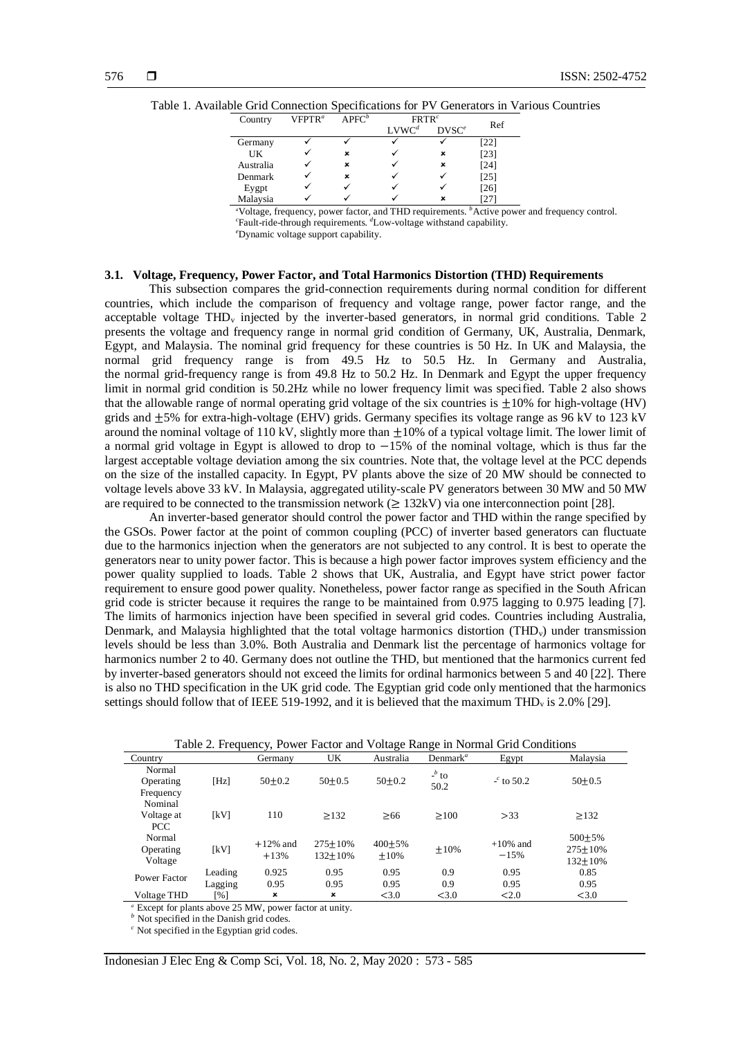| Country   | VFPTR <sup>a</sup> | $APFC^b$ | FRTR <sup>c</sup> |                                | Ref               |
|-----------|--------------------|----------|-------------------|--------------------------------|-------------------|
|           |                    |          | LVWC <sup>d</sup> | D <sub>V</sub> SC <sup>e</sup> |                   |
| Germany   |                    |          |                   |                                | 22                |
| UK        |                    | ×        |                   | ×                              | [23]              |
| Australia |                    | ×        |                   | ×                              | [24]              |
| Denmark   |                    | ×        |                   |                                | [25]              |
| Eygpt     |                    |          |                   |                                | $\left[26\right]$ |
| Malaysia  |                    |          |                   | ×                              | 27                |

Table 1. Available Grid Connection Specifications for PV Generators in Various Countries

*<sup>a</sup>*Voltage, frequency, power factor, and THD requirements. *<sup>b</sup>*Active power and frequency control. *<sup>c</sup>*Fault-ride-through requirements. *<sup>d</sup>*Low-voltage withstand capability.

*<sup>e</sup>*Dynamic voltage support capability.

#### **3.1. Voltage, Frequency, Power Factor, and Total Harmonics Distortion (THD) Requirements**

This subsection compares the grid-connection requirements during normal condition for different countries, which include the comparison of frequency and voltage range, power factor range, and the acceptable voltage  $THD<sub>v</sub>$  injected by the inverter-based generators, in normal grid conditions. Table 2 presents the voltage and frequency range in normal grid condition of Germany, UK, Australia, Denmark, Egypt, and Malaysia. The nominal grid frequency for these countries is 50 Hz. In UK and Malaysia, the normal grid frequency range is from 49.5 Hz to 50.5 Hz. In Germany and Australia, the normal grid-frequency range is from 49.8 Hz to 50.2 Hz. In Denmark and Egypt the upper frequency limit in normal grid condition is 50.2Hz while no lower frequency limit was specified. Table 2 also shows that the allowable range of normal operating grid voltage of the six countries is  $\pm 10\%$  for high-voltage (HV) grids and  $\pm 5\%$  for extra-high-voltage (EHV) grids. Germany specifies its voltage range as 96 kV to 123 kV around the nominal voltage of 110 kV, slightly more than  $\pm 10\%$  of a typical voltage limit. The lower limit of a normal grid voltage in Egypt is allowed to drop to −15% of the nominal voltage, which is thus far the largest acceptable voltage deviation among the six countries. Note that, the voltage level at the PCC depends on the size of the installed capacity. In Egypt, PV plants above the size of 20 MW should be connected to voltage levels above 33 kV. In Malaysia, aggregated utility-scale PV generators between 30 MW and 50 MW are required to be connected to the transmission network ( $\geq$  132kV) via one interconnection point [28].

An inverter-based generator should control the power factor and THD within the range specified by the GSOs. Power factor at the point of common coupling (PCC) of inverter based generators can fluctuate due to the harmonics injection when the generators are not subjected to any control. It is best to operate the generators near to unity power factor. This is because a high power factor improves system efficiency and the power quality supplied to loads. Table 2 shows that UK, Australia, and Egypt have strict power factor requirement to ensure good power quality. Nonetheless, power factor range as specified in the South African grid code is stricter because it requires the range to be maintained from 0.975 lagging to 0.975 leading [7]. The limits of harmonics injection have been specified in several grid codes. Countries including Australia, Denmark, and Malaysia highlighted that the total voltage harmonics distortion (THD<sub>v</sub>) under transmission levels should be less than 3.0%. Both Australia and Denmark list the percentage of harmonics voltage for harmonics number 2 to 40. Germany does not outline the THD, but mentioned that the harmonics current fed by inverter-based generators should not exceed the limits for ordinal harmonics between 5 and 40 [22]. There is also no THD specification in the UK grid code. The Egyptian grid code only mentioned that the harmonics settings should follow that of IEEE 519-1992, and it is believed that the maximum THD<sub>v</sub> is 2.0% [29].

| Table 2. Prequency, I Owell Pacturation worldge Kange in Formal Orio Conditions |                    |                       |                        |                         |                      |                       |                                             |
|---------------------------------------------------------------------------------|--------------------|-----------------------|------------------------|-------------------------|----------------------|-----------------------|---------------------------------------------|
| Country                                                                         |                    | Germany               | UK.                    | Australia               | Denmark <sup>a</sup> | Egypt                 | Malaysia                                    |
| Normal<br>Operating<br>Frequency                                                | [Hz]               | $50+0.2$              | $50+0.5$               | $50+0.2$                | $-b$ to<br>50.2      | $-$ c to 50.2         | $50+0.5$                                    |
| Nominal<br>Voltage at<br>PCC.                                                   | [kV]               | 110                   | $\geq$ 132             | >66                     | >100                 | >33                   | $\geq$ 132                                  |
| Normal<br>Operating<br>Voltage                                                  | [kV]               | $+12\%$ and<br>$+13%$ | $275 + 10%$<br>132+10% | $400 \pm 5\%$<br>$+10%$ | $\pm 10\%$           | $+10\%$ and<br>$-15%$ | $500+5%$<br>$275 \pm 10\%$<br>$132 \pm 10%$ |
| Power Factor                                                                    | Leading<br>Lagging | 0.925<br>0.95         | 0.95<br>0.95           | 0.95<br>0.95            | 0.9<br>0.9           | 0.95<br>0.95          | 0.85<br>0.95                                |
| Voltage THD                                                                     | [%]                | ×                     | $\pmb{\times}$         | < 3.0                   | < 3.0                | < 2.0                 | < 3.0                                       |

Table 2. Frequency, Power Factor and Voltage Range in Normal Grid Conditions

*<sup>a</sup>* Except for plants above 25 MW, power factor at unity.

*b* Not specified in the Danish grid codes.

*<sup>c</sup>* Not specified in the Egyptian grid codes.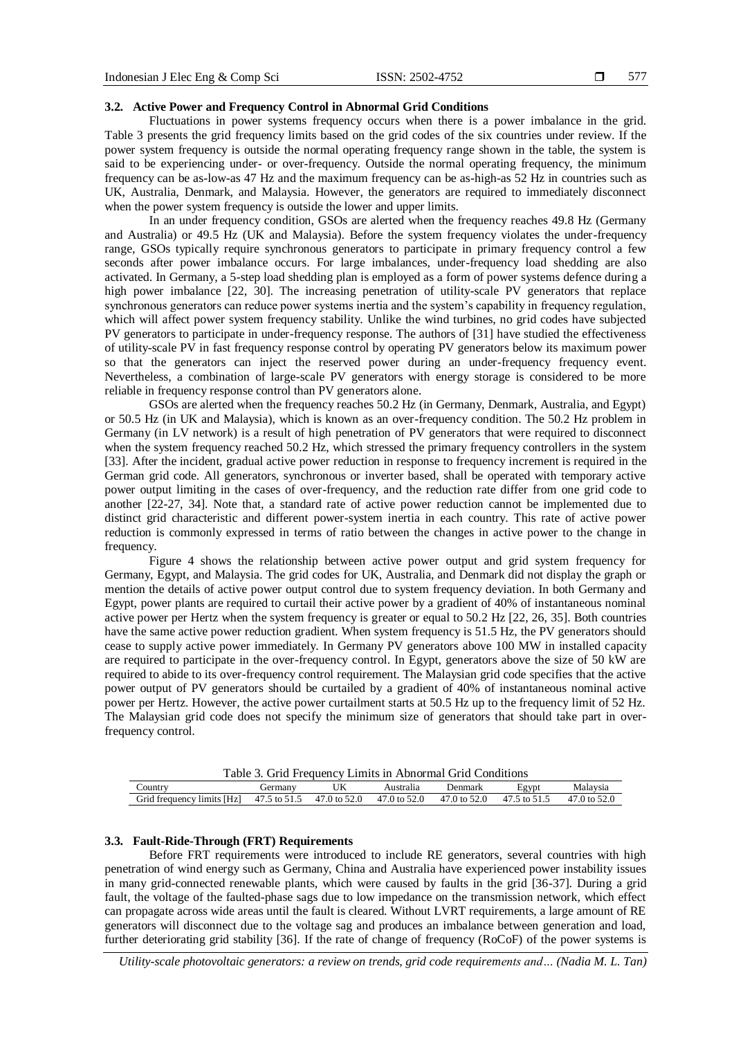#### 577

#### **3.2. Active Power and Frequency Control in Abnormal Grid Conditions**

Fluctuations in power systems frequency occurs when there is a power imbalance in the grid. Table 3 presents the grid frequency limits based on the grid codes of the six countries under review. If the power system frequency is outside the normal operating frequency range shown in the table, the system is said to be experiencing under- or over-frequency. Outside the normal operating frequency, the minimum frequency can be as-low-as 47 Hz and the maximum frequency can be as-high-as 52 Hz in countries such as UK, Australia, Denmark, and Malaysia. However, the generators are required to immediately disconnect when the power system frequency is outside the lower and upper limits.

In an under frequency condition, GSOs are alerted when the frequency reaches 49.8 Hz (Germany and Australia) or 49.5 Hz (UK and Malaysia). Before the system frequency violates the under-frequency range, GSOs typically require synchronous generators to participate in primary frequency control a few seconds after power imbalance occurs. For large imbalances, under-frequency load shedding are also activated. In Germany, a 5-step load shedding plan is employed as a form of power systems defence during a high power imbalance [22, 30]. The increasing penetration of utility-scale PV generators that replace synchronous generators can reduce power systems inertia and the system's capability in frequency regulation, which will affect power system frequency stability. Unlike the wind turbines, no grid codes have subjected PV generators to participate in under-frequency response. The authors of [31] have studied the effectiveness of utility-scale PV in fast frequency response control by operating PV generators below its maximum power so that the generators can inject the reserved power during an under-frequency frequency event. Nevertheless, a combination of large-scale PV generators with energy storage is considered to be more reliable in frequency response control than PV generators alone.

GSOs are alerted when the frequency reaches 50.2 Hz (in Germany, Denmark, Australia, and Egypt) or 50.5 Hz (in UK and Malaysia), which is known as an over-frequency condition. The 50.2 Hz problem in Germany (in LV network) is a result of high penetration of PV generators that were required to disconnect when the system frequency reached 50.2 Hz, which stressed the primary frequency controllers in the system [33]. After the incident, gradual active power reduction in response to frequency increment is required in the German grid code. All generators, synchronous or inverter based, shall be operated with temporary active power output limiting in the cases of over-frequency, and the reduction rate differ from one grid code to another [22-27, 34]. Note that, a standard rate of active power reduction cannot be implemented due to distinct grid characteristic and different power-system inertia in each country. This rate of active power reduction is commonly expressed in terms of ratio between the changes in active power to the change in frequency.

Figure 4 shows the relationship between active power output and grid system frequency for Germany, Egypt, and Malaysia. The grid codes for UK, Australia, and Denmark did not display the graph or mention the details of active power output control due to system frequency deviation. In both Germany and Egypt, power plants are required to curtail their active power by a gradient of 40% of instantaneous nominal active power per Hertz when the system frequency is greater or equal to 50.2 Hz [22, 26, 35]. Both countries have the same active power reduction gradient. When system frequency is 51.5 Hz, the PV generators should cease to supply active power immediately. In Germany PV generators above 100 MW in installed capacity are required to participate in the over-frequency control. In Egypt, generators above the size of 50 kW are required to abide to its over-frequency control requirement. The Malaysian grid code specifies that the active power output of PV generators should be curtailed by a gradient of 40% of instantaneous nominal active power per Hertz. However, the active power curtailment starts at 50.5 Hz up to the frequency limit of 52 Hz. The Malaysian grid code does not specify the minimum size of generators that should take part in overfrequency control.

Table 3. Grid Frequency Limits in Abnormal Grid Conditions

| ∠ountrv                         | Germany      | UK           | Australia    | <b>Denmark</b>       | Egypt<br>ப⊻                    | Malavsia           |  |
|---------------------------------|--------------|--------------|--------------|----------------------|--------------------------------|--------------------|--|
| l frequency limits [Hz]<br>Grid | 47.5 to 51.5 | 47.0 to 52.0 | 47.0 to 52.0 | $47.0 \text{ to } 5$ | .5 to 51.<br>$\Delta$ $\prime$ | 47<br>$/0$ to 52.0 |  |

### **3.3. Fault-Ride-Through (FRT) Requirements**

Before FRT requirements were introduced to include RE generators, several countries with high penetration of wind energy such as Germany, China and Australia have experienced power instability issues in many grid-connected renewable plants, which were caused by faults in the grid [36-37]. During a grid fault, the voltage of the faulted-phase sags due to low impedance on the transmission network, which effect can propagate across wide areas until the fault is cleared. Without LVRT requirements, a large amount of RE generators will disconnect due to the voltage sag and produces an imbalance between generation and load, further deteriorating grid stability [36]. If the rate of change of frequency (RoCoF) of the power systems is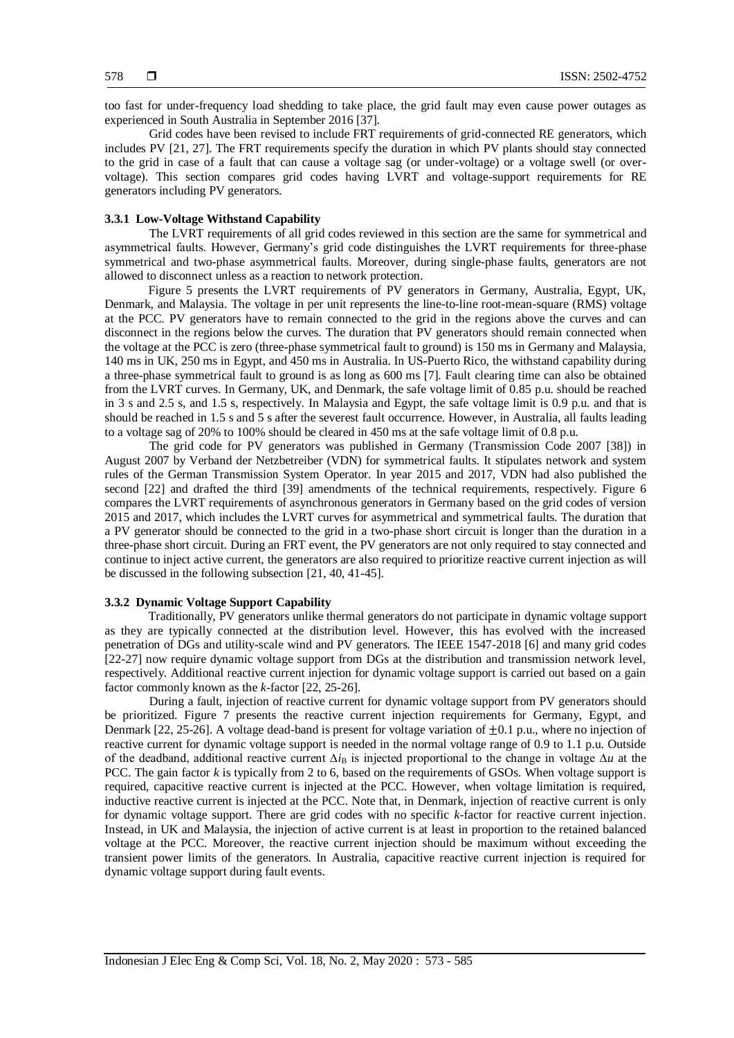too fast for under-frequency load shedding to take place, the grid fault may even cause power outages as experienced in South Australia in September 2016 [37].

Grid codes have been revised to include FRT requirements of grid-connected RE generators, which includes PV [21, 27]. The FRT requirements specify the duration in which PV plants should stay connected to the grid in case of a fault that can cause a voltage sag (or under-voltage) or a voltage swell (or overvoltage). This section compares grid codes having LVRT and voltage-support requirements for RE generators including PV generators.

#### **3.3.1 Low-Voltage Withstand Capability**

The LVRT requirements of all grid codes reviewed in this section are the same for symmetrical and asymmetrical faults. However, Germany's grid code distinguishes the LVRT requirements for three-phase symmetrical and two-phase asymmetrical faults. Moreover, during single-phase faults, generators are not allowed to disconnect unless as a reaction to network protection.

Figure 5 presents the LVRT requirements of PV generators in Germany, Australia, Egypt, UK, Denmark, and Malaysia. The voltage in per unit represents the line-to-line root-mean-square (RMS) voltage at the PCC. PV generators have to remain connected to the grid in the regions above the curves and can disconnect in the regions below the curves. The duration that PV generators should remain connected when the voltage at the PCC is zero (three-phase symmetrical fault to ground) is 150 ms in Germany and Malaysia, 140 ms in UK, 250 ms in Egypt, and 450 ms in Australia. In US-Puerto Rico, the withstand capability during a three-phase symmetrical fault to ground is as long as 600 ms [7]. Fault clearing time can also be obtained from the LVRT curves. In Germany, UK, and Denmark, the safe voltage limit of 0.85 p.u. should be reached in 3 s and 2.5 s, and 1.5 s, respectively. In Malaysia and Egypt, the safe voltage limit is 0.9 p.u. and that is should be reached in 1.5 s and 5 s after the severest fault occurrence. However, in Australia, all faults leading to a voltage sag of 20% to 100% should be cleared in 450 ms at the safe voltage limit of 0.8 p.u.

The grid code for PV generators was published in Germany (Transmission Code 2007 [38]) in August 2007 by Verband der Netzbetreiber (VDN) for symmetrical faults. It stipulates network and system rules of the German Transmission System Operator. In year 2015 and 2017, VDN had also published the second [22] and drafted the third [39] amendments of the technical requirements, respectively. Figure 6 compares the LVRT requirements of asynchronous generators in Germany based on the grid codes of version 2015 and 2017, which includes the LVRT curves for asymmetrical and symmetrical faults. The duration that a PV generator should be connected to the grid in a two-phase short circuit is longer than the duration in a three-phase short circuit. During an FRT event, the PV generators are not only required to stay connected and continue to inject active current, the generators are also required to prioritize reactive current injection as will be discussed in the following subsection [21, 40, 41-45].

# **3.3.2 Dynamic Voltage Support Capability**

Traditionally, PV generators unlike thermal generators do not participate in dynamic voltage support as they are typically connected at the distribution level. However, this has evolved with the increased penetration of DGs and utility-scale wind and PV generators. The IEEE 1547-2018 [6] and many grid codes [22-27] now require dynamic voltage support from DGs at the distribution and transmission network level, respectively. Additional reactive current injection for dynamic voltage support is carried out based on a gain factor commonly known as the *k*-factor [22, 25-26].

During a fault, injection of reactive current for dynamic voltage support from PV generators should be prioritized. Figure 7 presents the reactive current injection requirements for Germany, Egypt, and Denmark [22, 25-26]. A voltage dead-band is present for voltage variation of ±0.1 p.u., where no injection of reactive current for dynamic voltage support is needed in the normal voltage range of 0.9 to 1.1 p.u. Outside of the deadband, additional reactive current ∆*i*<sup>B</sup> is injected proportional to the change in voltage ∆*u* at the PCC. The gain factor *k* is typically from 2 to 6, based on the requirements of GSOs. When voltage support is required, capacitive reactive current is injected at the PCC. However, when voltage limitation is required, inductive reactive current is injected at the PCC. Note that, in Denmark, injection of reactive current is only for dynamic voltage support. There are grid codes with no specific *k*-factor for reactive current injection. Instead, in UK and Malaysia, the injection of active current is at least in proportion to the retained balanced voltage at the PCC. Moreover, the reactive current injection should be maximum without exceeding the transient power limits of the generators. In Australia, capacitive reactive current injection is required for dynamic voltage support during fault events.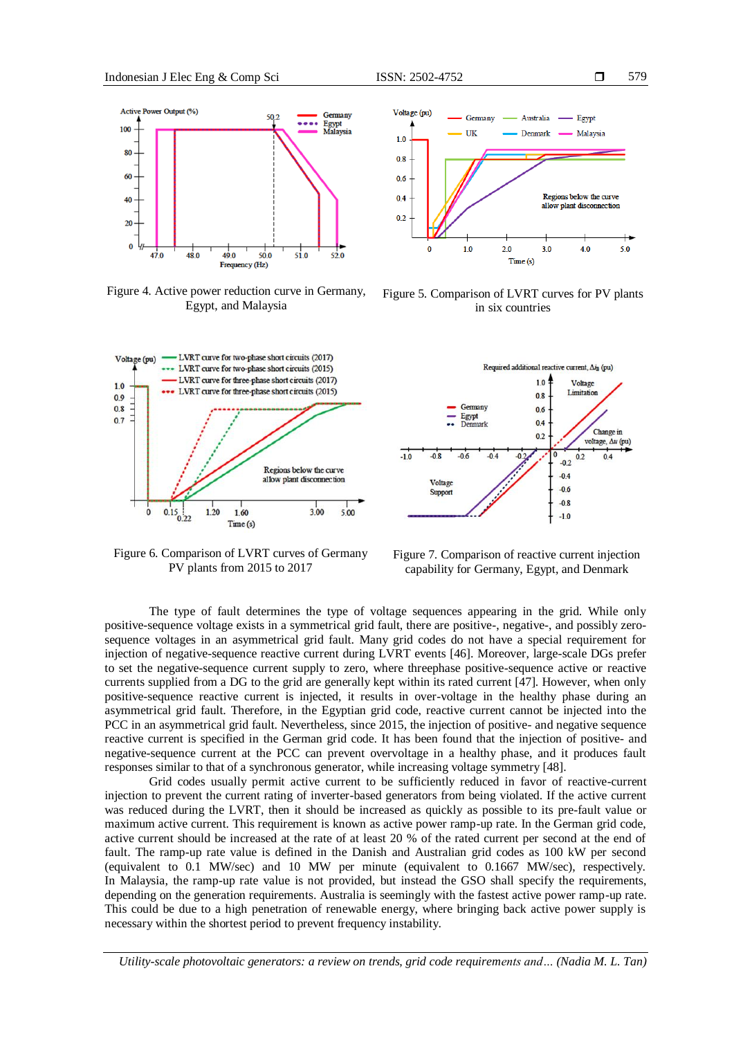

Figure 4. Active power reduction curve in Germany, Egypt, and Malaysia



Figure 6. Comparison of LVRT curves of Germany PV plants from 2015 to 2017



Figure 5. Comparison of LVRT curves for PV plants in six countries



Figure 7. Comparison of reactive current injection capability for Germany, Egypt, and Denmark

The type of fault determines the type of voltage sequences appearing in the grid. While only positive-sequence voltage exists in a symmetrical grid fault, there are positive-, negative-, and possibly zerosequence voltages in an asymmetrical grid fault. Many grid codes do not have a special requirement for injection of negative-sequence reactive current during LVRT events [46]. Moreover, large-scale DGs prefer to set the negative-sequence current supply to zero, where threephase positive-sequence active or reactive currents supplied from a DG to the grid are generally kept within its rated current [47]. However, when only positive-sequence reactive current is injected, it results in over-voltage in the healthy phase during an asymmetrical grid fault. Therefore, in the Egyptian grid code, reactive current cannot be injected into the PCC in an asymmetrical grid fault. Nevertheless, since 2015, the injection of positive- and negative sequence reactive current is specified in the German grid code. It has been found that the injection of positive- and negative-sequence current at the PCC can prevent overvoltage in a healthy phase, and it produces fault responses similar to that of a synchronous generator, while increasing voltage symmetry [48].

Grid codes usually permit active current to be sufficiently reduced in favor of reactive-current injection to prevent the current rating of inverter-based generators from being violated. If the active current was reduced during the LVRT, then it should be increased as quickly as possible to its pre-fault value or maximum active current. This requirement is known as active power ramp-up rate. In the German grid code, active current should be increased at the rate of at least 20 % of the rated current per second at the end of fault. The ramp-up rate value is defined in the Danish and Australian grid codes as 100 kW per second (equivalent to 0.1 MW/sec) and 10 MW per minute (equivalent to 0.1667 MW/sec), respectively. In Malaysia, the ramp-up rate value is not provided, but instead the GSO shall specify the requirements, depending on the generation requirements. Australia is seemingly with the fastest active power ramp-up rate. This could be due to a high penetration of renewable energy, where bringing back active power supply is necessary within the shortest period to prevent frequency instability.

*Utility-scale photovoltaic generators: a review on trends, grid code requirements and… (Nadia M. L. Tan)*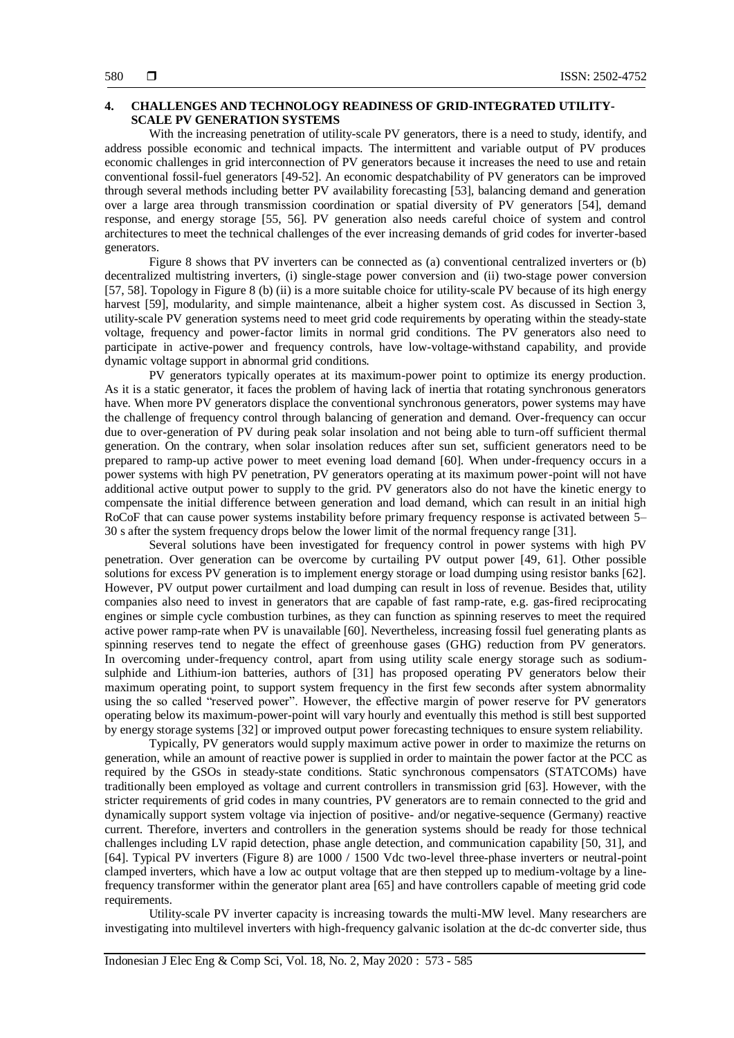# **4. CHALLENGES AND TECHNOLOGY READINESS OF GRID-INTEGRATED UTILITY-SCALE PV GENERATION SYSTEMS**

With the increasing penetration of utility-scale PV generators, there is a need to study, identify, and address possible economic and technical impacts. The intermittent and variable output of PV produces economic challenges in grid interconnection of PV generators because it increases the need to use and retain conventional fossil-fuel generators [49-52]. An economic despatchability of PV generators can be improved through several methods including better PV availability forecasting [53], balancing demand and generation over a large area through transmission coordination or spatial diversity of PV generators [54], demand response, and energy storage [55, 56]. PV generation also needs careful choice of system and control architectures to meet the technical challenges of the ever increasing demands of grid codes for inverter-based generators.

Figure 8 shows that PV inverters can be connected as (a) conventional centralized inverters or (b) decentralized multistring inverters, (i) single-stage power conversion and (ii) two-stage power conversion [57, 58]. Topology in Figure 8 (b) (ii) is a more suitable choice for utility-scale PV because of its high energy harvest [59], modularity, and simple maintenance, albeit a higher system cost. As discussed in Section 3, utility-scale PV generation systems need to meet grid code requirements by operating within the steady-state voltage, frequency and power-factor limits in normal grid conditions. The PV generators also need to participate in active-power and frequency controls, have low-voltage-withstand capability, and provide dynamic voltage support in abnormal grid conditions.

PV generators typically operates at its maximum-power point to optimize its energy production. As it is a static generator, it faces the problem of having lack of inertia that rotating synchronous generators have. When more PV generators displace the conventional synchronous generators, power systems may have the challenge of frequency control through balancing of generation and demand. Over-frequency can occur due to over-generation of PV during peak solar insolation and not being able to turn-off sufficient thermal generation. On the contrary, when solar insolation reduces after sun set, sufficient generators need to be prepared to ramp-up active power to meet evening load demand [60]. When under-frequency occurs in a power systems with high PV penetration, PV generators operating at its maximum power-point will not have additional active output power to supply to the grid. PV generators also do not have the kinetic energy to compensate the initial difference between generation and load demand, which can result in an initial high RoCoF that can cause power systems instability before primary frequency response is activated between 5– 30 s after the system frequency drops below the lower limit of the normal frequency range [31].

Several solutions have been investigated for frequency control in power systems with high PV penetration. Over generation can be overcome by curtailing PV output power [49, 61]. Other possible solutions for excess PV generation is to implement energy storage or load dumping using resistor banks [62]. However, PV output power curtailment and load dumping can result in loss of revenue. Besides that, utility companies also need to invest in generators that are capable of fast ramp-rate, e.g. gas-fired reciprocating engines or simple cycle combustion turbines, as they can function as spinning reserves to meet the required active power ramp-rate when PV is unavailable [60]. Nevertheless, increasing fossil fuel generating plants as spinning reserves tend to negate the effect of greenhouse gases (GHG) reduction from PV generators. In overcoming under-frequency control, apart from using utility scale energy storage such as sodiumsulphide and Lithium-ion batteries, authors of [31] has proposed operating PV generators below their maximum operating point, to support system frequency in the first few seconds after system abnormality using the so called "reserved power". However, the effective margin of power reserve for PV generators operating below its maximum-power-point will vary hourly and eventually this method is still best supported by energy storage systems [32] or improved output power forecasting techniques to ensure system reliability.

Typically, PV generators would supply maximum active power in order to maximize the returns on generation, while an amount of reactive power is supplied in order to maintain the power factor at the PCC as required by the GSOs in steady-state conditions. Static synchronous compensators (STATCOMs) have traditionally been employed as voltage and current controllers in transmission grid [63]. However, with the stricter requirements of grid codes in many countries, PV generators are to remain connected to the grid and dynamically support system voltage via injection of positive- and/or negative-sequence (Germany) reactive current. Therefore, inverters and controllers in the generation systems should be ready for those technical challenges including LV rapid detection, phase angle detection, and communication capability [50, 31], and [64]. Typical PV inverters (Figure 8) are 1000 / 1500 Vdc two-level three-phase inverters or neutral-point clamped inverters, which have a low ac output voltage that are then stepped up to medium-voltage by a linefrequency transformer within the generator plant area [65] and have controllers capable of meeting grid code requirements.

Utility-scale PV inverter capacity is increasing towards the multi-MW level. Many researchers are investigating into multilevel inverters with high-frequency galvanic isolation at the dc-dc converter side, thus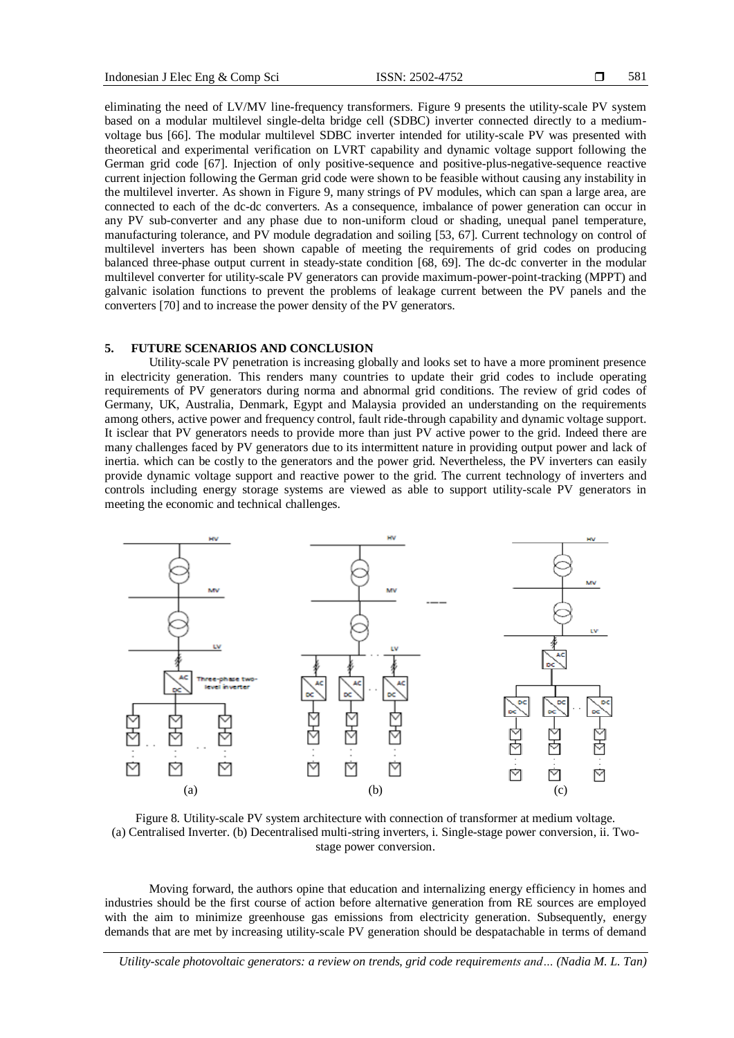eliminating the need of LV/MV line-frequency transformers. Figure 9 presents the utility-scale PV system based on a modular multilevel single-delta bridge cell (SDBC) inverter connected directly to a mediumvoltage bus [66]. The modular multilevel SDBC inverter intended for utility-scale PV was presented with theoretical and experimental verification on LVRT capability and dynamic voltage support following the German grid code [67]. Injection of only positive-sequence and positive-plus-negative-sequence reactive current injection following the German grid code were shown to be feasible without causing any instability in the multilevel inverter. As shown in Figure 9, many strings of PV modules, which can span a large area, are connected to each of the dc-dc converters. As a consequence, imbalance of power generation can occur in any PV sub-converter and any phase due to non-uniform cloud or shading, unequal panel temperature, manufacturing tolerance, and PV module degradation and soiling [53, 67]. Current technology on control of multilevel inverters has been shown capable of meeting the requirements of grid codes on producing balanced three-phase output current in steady-state condition [68, 69]. The dc-dc converter in the modular multilevel converter for utility-scale PV generators can provide maximum-power-point-tracking (MPPT) and galvanic isolation functions to prevent the problems of leakage current between the PV panels and the converters [70] and to increase the power density of the PV generators.

### **5. FUTURE SCENARIOS AND CONCLUSION**

Utility-scale PV penetration is increasing globally and looks set to have a more prominent presence in electricity generation. This renders many countries to update their grid codes to include operating requirements of PV generators during norma and abnormal grid conditions. The review of grid codes of Germany, UK, Australia, Denmark, Egypt and Malaysia provided an understanding on the requirements among others, active power and frequency control, fault ride-through capability and dynamic voltage support. It isclear that PV generators needs to provide more than just PV active power to the grid. Indeed there are many challenges faced by PV generators due to its intermittent nature in providing output power and lack of inertia. which can be costly to the generators and the power grid. Nevertheless, the PV inverters can easily provide dynamic voltage support and reactive power to the grid. The current technology of inverters and controls including energy storage systems are viewed as able to support utility-scale PV generators in meeting the economic and technical challenges.



Figure 8. Utility-scale PV system architecture with connection of transformer at medium voltage. (a) Centralised Inverter. (b) Decentralised multi-string inverters, i. Single-stage power conversion, ii. Twostage power conversion.

Moving forward, the authors opine that education and internalizing energy efficiency in homes and industries should be the first course of action before alternative generation from RE sources are employed with the aim to minimize greenhouse gas emissions from electricity generation. Subsequently, energy demands that are met by increasing utility-scale PV generation should be despatachable in terms of demand

*Utility-scale photovoltaic generators: a review on trends, grid code requirements and… (Nadia M. L. Tan)*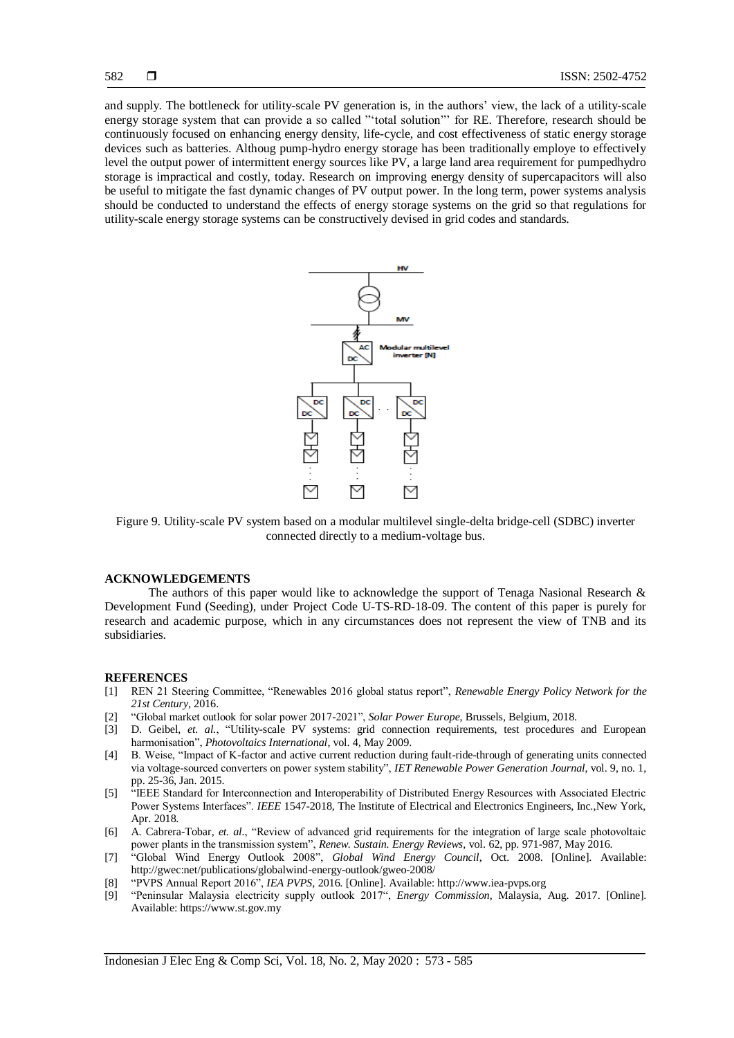and supply. The bottleneck for utility-scale PV generation is, in the authors' view, the lack of a utility-scale energy storage system that can provide a so called "'total solution"' for RE. Therefore, research should be continuously focused on enhancing energy density, life-cycle, and cost effectiveness of static energy storage devices such as batteries. Althoug pump-hydro energy storage has been traditionally employe to effectively level the output power of intermittent energy sources like PV, a large land area requirement for pumpedhydro storage is impractical and costly, today. Research on improving energy density of supercapacitors will also be useful to mitigate the fast dynamic changes of PV output power. In the long term, power systems analysis should be conducted to understand the effects of energy storage systems on the grid so that regulations for utility-scale energy storage systems can be constructively devised in grid codes and standards.



Figure 9. Utility-scale PV system based on a modular multilevel single-delta bridge-cell (SDBC) inverter connected directly to a medium-voltage bus.

#### **ACKNOWLEDGEMENTS**

The authors of this paper would like to acknowledge the support of Tenaga Nasional Research & Development Fund (Seeding), under Project Code U-TS-RD-18-09. The content of this paper is purely for research and academic purpose, which in any circumstances does not represent the view of TNB and its subsidiaries.

#### **REFERENCES**

- [1] REN 21 Steering Committee, "Renewables 2016 global status report", *Renewable Energy Policy Network for the 21st Century*, 2016.
- [2] "Global market outlook for solar power 2017-2021", *Solar Power Europe*, Brussels, Belgium, 2018.
- [3] D. Geibel, *et. al.*, "Utility-scale PV systems: grid connection requirements, test procedures and European harmonisation", *Photovoltaics International*, vol. 4, May 2009.
- [4] B. Weise, "Impact of K-factor and active current reduction during fault-ride-through of generating units connected via voltage-sourced converters on power system stability", *IET Renewable Power Generation Journal*, vol. 9, no. 1, pp. 25-36, Jan. 2015.
- [5] "IEEE Standard for Interconnection and Interoperability of Distributed Energy Resources with Associated Electric Power Systems Interfaces". *IEEE* 1547-2018, The Institute of Electrical and Electronics Engineers, Inc.,New York, Apr. 2018.
- [6] A. Cabrera-Tobar, *et. al.*, "Review of advanced grid requirements for the integration of large scale photovoltaic power plants in the transmission system", *Renew. Sustain. Energy Reviews*, vol. 62, pp. 971-987, May 2016.
- [7] "Global Wind Energy Outlook 2008", *Global Wind Energy Council*, Oct. 2008. [Online]. Available: http://gwec:net/publications/globalwind-energy-outlook/gweo-2008/
- [8] "PVPS Annual Report 2016", *IEA PVPS*, 2016. [Online]. Available: http://www.iea-pvps.org
- [9] "Peninsular Malaysia electricity supply outlook 2017", *Energy Commission*, Malaysia, Aug. 2017. [Online]. Available: https://www.st.gov.my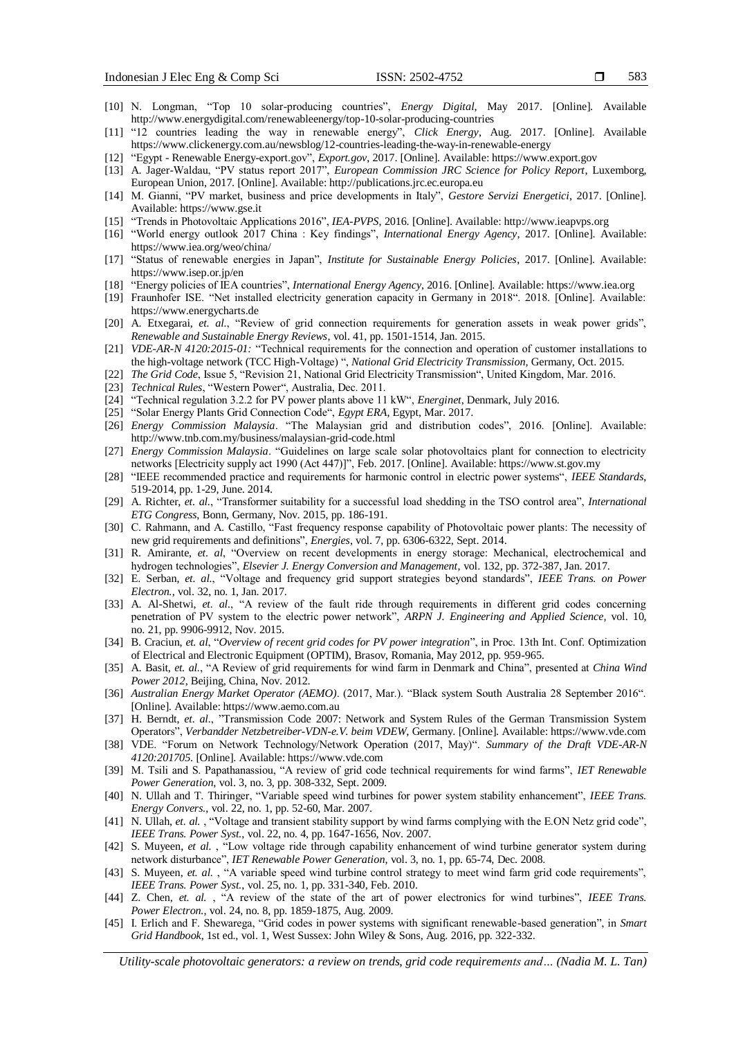- 583
- [10] N. Longman, "Top 10 solar-producing countries", *Energy Digital*, May 2017. [Online]. Available http://www.energydigital.com/renewableenergy/top-10-solar-producing-countries
- [11] "12 countries leading the way in renewable energy", *Click Energy*, Aug. 2017. [Online]. Available https://www.clickenergy.com.au/newsblog/12-countries-leading-the-way-in-renewable-energy
- [12] "Egypt Renewable Energy-export.gov", *Export.gov*, 2017. [Online]. Available: https://www.export.gov
- [13] A. Jager-Waldau, "PV status report 2017", *European Commission JRC Science for Policy Report*, Luxemborg, European Union, 2017. [Online]. Available: http://publications.jrc.ec.europa.eu
- [14] M. Gianni, "PV market, business and price developments in Italy", *Gestore Servizi Energetici*, 2017. [Online]. Available: https://www.gse.it
- [15] "Trends in Photovoltaic Applications 2016", *IEA-PVPS*, 2016. [Online]. Available: http://www.ieapvps.org
- [16] "World energy outlook 2017 China : Key findings", *International Energy Agency*, 2017. [Online]. Available: https://www.iea.org/weo/china/
- [17] "Status of renewable energies in Japan", *Institute for Sustainable Energy Policies*, 2017. [Online]. Available: https://www.isep.or.jp/en
- [18] "Energy policies of IEA countries", *International Energy Agency*, 2016. [Online]. Available: https://www.iea.org
- [19] Fraunhofer ISE. "Net installed electricity generation capacity in Germany in 2018". 2018. [Online]. Available: https://www.energycharts.de
- [20] A. Etxegarai, *et. al.*, "Review of grid connection requirements for generation assets in weak power grids", *Renewable and Sustainable Energy Reviews*, vol. 41, pp. 1501-1514, Jan. 2015.
- [21] *VDE-AR-N 4120:2015-01:* "Technical requirements for the connection and operation of customer installations to the high-voltage network (TCC High-Voltage) ", *National Grid Electricity Transmission*, Germany, Oct. 2015.
- [22] *The Grid Code*, Issue 5, "Revision 21, National Grid Electricity Transmission", United Kingdom, Mar. 2016.
- [23] *Technical Rules*, "Western Power", Australia, Dec. 2011.
- [24] "Technical regulation 3.2.2 for PV power plants above 11 kW", *Energinet*, Denmark, July 2016.
- [25] "Solar Energy Plants Grid Connection Code", *Egypt ERA*, Egypt, Mar. 2017.
- [26] *Energy Commission Malaysia*. "The Malaysian grid and distribution codes", 2016. [Online]. Available: http://www.tnb.com.my/business/malaysian-grid-code.html
- [27] *Energy Commission Malaysia*. "Guidelines on large scale solar photovoltaics plant for connection to electricity networks [Electricity supply act 1990 (Act 447)]", Feb. 2017. [Online]. Available: https://www.st.gov.my
- [28] "IEEE recommended practice and requirements for harmonic control in electric power systems", *IEEE Standards*, 519-2014, pp. 1-29, June. 2014.
- [29] A. Richter, *et. al.*, "Transformer suitability for a successful load shedding in the TSO control area", *International ETG Congress*, Bonn, Germany, Nov. 2015, pp. 186-191.
- [30] C. Rahmann, and A. Castillo, "Fast frequency response capability of Photovoltaic power plants: The necessity of new grid requirements and definitions", *Energies*, vol. 7, pp. 6306-6322, Sept. 2014.
- [31] R. Amirante, *et. al*, "Overview on recent developments in energy storage: Mechanical, electrochemical and hydrogen technologies", *Elsevier J. Energy Conversion and Management*, vol. 132, pp. 372-387, Jan. 2017.
- [32] E. Serban, *et. al.*, "Voltage and frequency grid support strategies beyond standards", *IEEE Trans. on Power Electron.*, vol. 32, no. 1, Jan. 2017.
- [33] A. Al-Shetwi, *et. al.*, "A review of the fault ride through requirements in different grid codes concerning penetration of PV system to the electric power network", *ARPN J. Engineering and Applied Science*, vol. 10, no. 21, pp. 9906-9912, Nov. 2015.
- [34] B. Craciun, *et. al*, "*Overview of recent grid codes for PV power integration*", in Proc. 13th Int. Conf. Optimization of Electrical and Electronic Equipment (OPTIM), Brasov, Romania, May 2012, pp. 959-965.
- [35] A. Basit, *et. al.*, "A Review of grid requirements for wind farm in Denmark and China", presented at *China Wind Power 2012*, Beijing, China, Nov. 2012.
- [36] *Australian Energy Market Operator (AEMO)*. (2017, Mar.). "Black system South Australia 28 September 2016". [Online]. Available: https://www.aemo.com.au
- [37] H. Berndt, *et. al.*, "Transmission Code 2007: Network and System Rules of the German Transmission System Operators", *Verbandder Netzbetreiber-VDN-e.V. beim VDEW*, Germany. [Online]. Available: https://www.vde.com
- [38] VDE. "Forum on Network Technology/Network Operation (2017, May)". *Summary of the Draft VDE-AR-N 4120:201705*. [Online]. Available: https://www.vde.com
- [39] M. Tsili and S. Papathanassiou, "A review of grid code technical requirements for wind farms", *IET Renewable Power Generation*, vol. 3, no. 3, pp. 308-332, Sept. 2009.
- [40] N. Ullah and T. Thiringer, "Variable speed wind turbines for power system stability enhancement", *IEEE Trans. Energy Convers.*, vol. 22, no. 1, pp. 52-60, Mar. 2007.
- [41] N. Ullah, *et. al.*, "Voltage and transient stability support by wind farms complying with the E.ON Netz grid code", *IEEE Trans. Power Syst.*, vol. 22, no. 4, pp. 1647-1656, Nov. 2007.
- [42] S. Muyeen, *et al.* , "Low voltage ride through capability enhancement of wind turbine generator system during network disturbance", *IET Renewable Power Generation*, vol. 3, no. 1, pp. 65-74, Dec. 2008.
- [43] S. Muyeen, *et. al.*, "A variable speed wind turbine control strategy to meet wind farm grid code requirements", *IEEE Trans. Power Syst.*, vol. 25, no. 1, pp. 331-340, Feb. 2010.
- [44] Z. Chen, *et. al.* , "A review of the state of the art of power electronics for wind turbines", *IEEE Trans. Power Electron.*, vol. 24, no. 8, pp. 1859-1875, Aug. 2009.
- [45] I. Erlich and F. Shewarega, "Grid codes in power systems with significant renewable-based generation", in *Smart Grid Handbook*, 1st ed., vol. 1, West Sussex: John Wiley & Sons, Aug. 2016, pp. 322-332.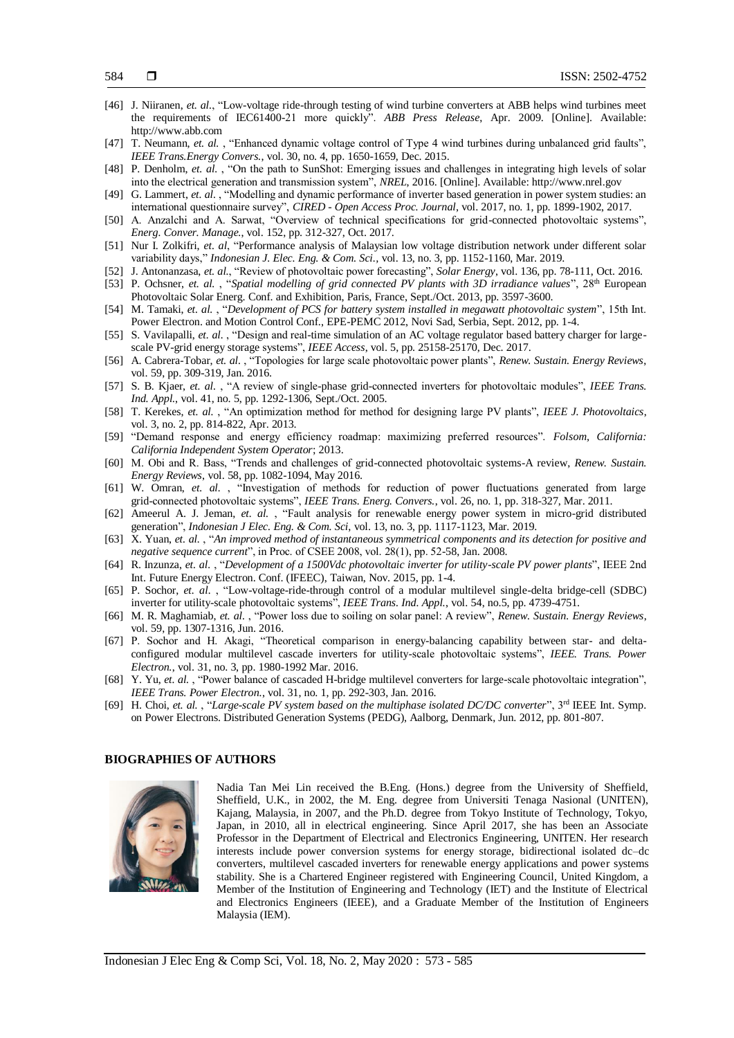- [46] J. Niiranen, *et. al.*, "Low-voltage ride-through testing of wind turbine converters at ABB helps wind turbines meet the requirements of IEC61400-21 more quickly". *ABB Press Release*, Apr. 2009. [Online]. Available: http://www.abb.com
- [47] T. Neumann, *et. al.* , "Enhanced dynamic voltage control of Type 4 wind turbines during unbalanced grid faults", *IEEE Trans.Energy Convers.*, vol. 30, no. 4, pp. 1650-1659, Dec. 2015.
- [48] P. Denholm, *et. al.* , "On the path to SunShot: Emerging issues and challenges in integrating high levels of solar into the electrical generation and transmission system", *NREL*, 2016. [Online]. Available: http://www.nrel.gov
- [49] G. Lammert, *et. al.* , "Modelling and dynamic performance of inverter based generation in power system studies: an international questionnaire survey", *CIRED - Open Access Proc. Journal*, vol. 2017, no. 1, pp. 1899-1902, 2017.
- [50] A. Anzalchi and A. Sarwat, "Overview of technical specifications for grid-connected photovoltaic systems", *Energ. Conver. Manage.*, vol. 152, pp. 312-327, Oct. 2017.
- [51] Nur I. Zolkifri, *et. al*, "Performance analysis of Malaysian low voltage distribution network under different solar variability days," *Indonesian J. Elec. Eng. & Com. Sci.,* vol. 13, no. 3, pp. 1152-1160, Mar. 2019.
- [52] J. Antonanzasa, *et. al.*, "Review of photovoltaic power forecasting", *Solar Energy*, vol. 136, pp. 78-111, Oct. 2016.
- [53] P. Ochsner, *et. al.*, "*Spatial modelling of grid connected PV plants with 3D irradiance values*", 28<sup>th</sup> European Photovoltaic Solar Energ. Conf. and Exhibition, Paris, France, Sept./Oct. 2013, pp. 3597-3600.
- [54] M. Tamaki, *et. al.* , "*Development of PCS for battery system installed in megawatt photovoltaic system*", 15th Int. Power Electron. and Motion Control Conf., EPE-PEMC 2012, Novi Sad, Serbia, Sept. 2012, pp. 1-4.
- [55] S. Vavilapalli, *et. al.* , "Design and real-time simulation of an AC voltage regulator based battery charger for largescale PV-grid energy storage systems", *IEEE Access*, vol. 5, pp. 25158-25170, Dec. 2017.
- [56] A. Cabrera-Tobar, *et. al.* , "Topologies for large scale photovoltaic power plants", *Renew. Sustain. Energy Reviews*, vol. 59, pp. 309-319, Jan. 2016.
- [57] S. B. Kjaer, *et. al.* , "A review of single-phase grid-connected inverters for photovoltaic modules", *IEEE Trans. Ind. Appl.*, vol. 41, no. 5, pp. 1292-1306, Sept./Oct. 2005.
- [58] T. Kerekes, *et. al.* , "An optimization method for method for designing large PV plants", *IEEE J. Photovoltaics*, vol. 3, no. 2, pp. 814-822, Apr. 2013.
- [59] "Demand response and energy efficiency roadmap: maximizing preferred resources". *Folsom, California: California Independent System Operator*; 2013.
- [60] M. Obi and R. Bass, "Trends and challenges of grid-connected photovoltaic systems-A review, *Renew. Sustain. Energy Reviews*, vol. 58, pp. 1082-1094, May 2016.
- [61] W. Omran, *et. al.* , "Investigation of methods for reduction of power fluctuations generated from large grid-connected photovoltaic systems", *IEEE Trans. Energ. Convers.*, vol. 26, no. 1, pp. 318-327, Mar. 2011.
- [62] Ameerul A. J. Jeman, *et. al.* , "Fault analysis for renewable energy power system in micro-grid distributed generation", *Indonesian J Elec. Eng. & Com. Sci*, vol. 13, no. 3, pp. 1117-1123, Mar. 2019.
- [63] X. Yuan, *et. al.* , "*An improved method of instantaneous symmetrical components and its detection for positive and negative sequence current*", in Proc. of CSEE 2008, vol. 28(1), pp. 52-58, Jan. 2008.
- [64] R. Inzunza, *et. al.* , "*Development of a 1500Vdc photovoltaic inverter for utility-scale PV power plants*", IEEE 2nd Int. Future Energy Electron. Conf. (IFEEC), Taiwan, Nov. 2015, pp. 1-4.
- [65] P. Sochor, *et. al.* , "Low-voltage-ride-through control of a modular multilevel single-delta bridge-cell (SDBC) inverter for utility-scale photovoltaic systems", *IEEE Trans. Ind. Appl.*, vol. 54, no.5, pp. 4739-4751.
- [66] M. R. Maghamiab, *et. al.* , "Power loss due to soiling on solar panel: A review", *Renew. Sustain. Energy Reviews*, vol. 59, pp. 1307-1316, Jun. 2016.
- [67] P. Sochor and H. Akagi, "Theoretical comparison in energy-balancing capability between star- and deltaconfigured modular multilevel cascade inverters for utility-scale photovoltaic systems", *IEEE. Trans. Power Electron.*, vol. 31, no. 3, pp. 1980-1992 Mar. 2016.
- [68] Y. Yu, *et. al.* , "Power balance of cascaded H-bridge multilevel converters for large-scale photovoltaic integration", *IEEE Trans. Power Electron.*, vol. 31, no. 1, pp. 292-303, Jan. 2016.
- [69] H. Choi, *et. al.* , "*Large-scale PV system based on the multiphase isolated DC/DC converter*", 3rd IEEE Int. Symp. on Power Electrons. Distributed Generation Systems (PEDG), Aalborg, Denmark, Jun. 2012, pp. 801-807.

#### **BIOGRAPHIES OF AUTHORS**



Nadia Tan Mei Lin received the B.Eng. (Hons.) degree from the University of Sheffield, Sheffield, U.K., in 2002, the M. Eng. degree from Universiti Tenaga Nasional (UNITEN), Kajang, Malaysia, in 2007, and the Ph.D. degree from Tokyo Institute of Technology, Tokyo, Japan, in 2010, all in electrical engineering. Since April 2017, she has been an Associate Professor in the Department of Electrical and Electronics Engineering, UNITEN. Her research interests include power conversion systems for energy storage, bidirectional isolated dc–dc converters, multilevel cascaded inverters for renewable energy applications and power systems stability. She is a Chartered Engineer registered with Engineering Council, United Kingdom, a Member of the Institution of Engineering and Technology (IET) and the Institute of Electrical and Electronics Engineers (IEEE), and a Graduate Member of the Institution of Engineers Malaysia (IEM).